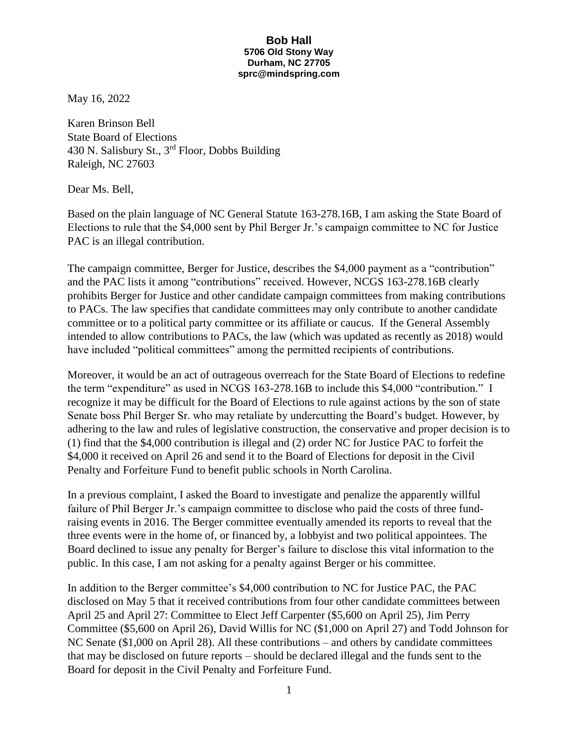## **Bob Hall 5706 Old Stony Way Durham, NC 27705 sprc@mindspring.com**

May 16, 2022

Karen Brinson Bell State Board of Elections 430 N. Salisbury St., 3rd Floor, Dobbs Building Raleigh, NC 27603

Dear Ms. Bell,

Based on the plain language of NC General Statute 163-278.16B, I am asking the State Board of Elections to rule that the \$4,000 sent by Phil Berger Jr.'s campaign committee to NC for Justice PAC is an illegal contribution.

The campaign committee, Berger for Justice, describes the \$4,000 payment as a "contribution" and the PAC lists it among "contributions" received. However, NCGS 163-278.16B clearly prohibits Berger for Justice and other candidate campaign committees from making contributions to PACs. The law specifies that candidate committees may only contribute to another candidate committee or to a political party committee or its affiliate or caucus. If the General Assembly intended to allow contributions to PACs, the law (which was updated as recently as 2018) would have included "political committees" among the permitted recipients of contributions.

Moreover, it would be an act of outrageous overreach for the State Board of Elections to redefine the term "expenditure" as used in NCGS 163-278.16B to include this \$4,000 "contribution." I recognize it may be difficult for the Board of Elections to rule against actions by the son of state Senate boss Phil Berger Sr. who may retaliate by undercutting the Board's budget. However, by adhering to the law and rules of legislative construction, the conservative and proper decision is to (1) find that the \$4,000 contribution is illegal and (2) order NC for Justice PAC to forfeit the \$4,000 it received on April 26 and send it to the Board of Elections for deposit in the Civil Penalty and Forfeiture Fund to benefit public schools in North Carolina.

In a previous complaint, I asked the Board to investigate and penalize the apparently willful failure of Phil Berger Jr.'s campaign committee to disclose who paid the costs of three fundraising events in 2016. The Berger committee eventually amended its reports to reveal that the three events were in the home of, or financed by, a lobbyist and two political appointees. The Board declined to issue any penalty for Berger's failure to disclose this vital information to the public. In this case, I am not asking for a penalty against Berger or his committee.

In addition to the Berger committee's \$4,000 contribution to NC for Justice PAC, the PAC disclosed on May 5 that it received contributions from four other candidate committees between April 25 and April 27: Committee to Elect Jeff Carpenter (\$5,600 on April 25), Jim Perry Committee (\$5,600 on April 26), David Willis for NC (\$1,000 on April 27) and Todd Johnson for NC Senate (\$1,000 on April 28). All these contributions – and others by candidate committees that may be disclosed on future reports – should be declared illegal and the funds sent to the Board for deposit in the Civil Penalty and Forfeiture Fund.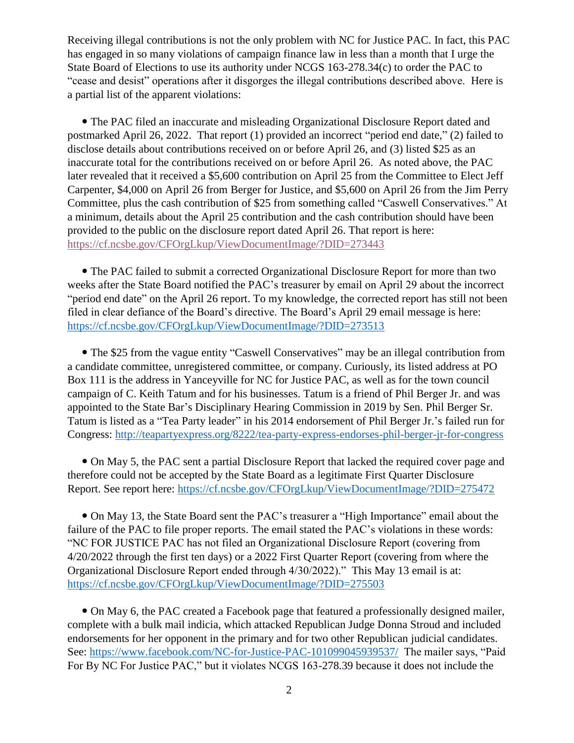Receiving illegal contributions is not the only problem with NC for Justice PAC. In fact, this PAC has engaged in so many violations of campaign finance law in less than a month that I urge the State Board of Elections to use its authority under NCGS 163-278.34(c) to order the PAC to "cease and desist" operations after it disgorges the illegal contributions described above. Here is a partial list of the apparent violations:

 The PAC filed an inaccurate and misleading Organizational Disclosure Report dated and postmarked April 26, 2022. That report (1) provided an incorrect "period end date," (2) failed to disclose details about contributions received on or before April 26, and (3) listed \$25 as an inaccurate total for the contributions received on or before April 26. As noted above, the PAC later revealed that it received a \$5,600 contribution on April 25 from the Committee to Elect Jeff Carpenter, \$4,000 on April 26 from Berger for Justice, and \$5,600 on April 26 from the Jim Perry Committee, plus the cash contribution of \$25 from something called "Caswell Conservatives." At a minimum, details about the April 25 contribution and the cash contribution should have been provided to the public on the disclosure report dated April 26. That report is here: <https://cf.ncsbe.gov/CFOrgLkup/ViewDocumentImage/?DID=273443>

 The PAC failed to submit a corrected Organizational Disclosure Report for more than two weeks after the State Board notified the PAC's treasurer by email on April 29 about the incorrect "period end date" on the April 26 report. To my knowledge, the corrected report has still not been filed in clear defiance of the Board's directive. The Board's April 29 email message is here: <https://cf.ncsbe.gov/CFOrgLkup/ViewDocumentImage/?DID=273513>

• The \$25 from the vague entity "Caswell Conservatives" may be an illegal contribution from a candidate committee, unregistered committee, or company. Curiously, its listed address at PO Box 111 is the address in Yanceyville for NC for Justice PAC, as well as for the town council campaign of C. Keith Tatum and for his businesses. Tatum is a friend of Phil Berger Jr. and was appointed to the State Bar's Disciplinary Hearing Commission in 2019 by Sen. Phil Berger Sr. Tatum is listed as a "Tea Party leader" in his 2014 endorsement of Phil Berger Jr.'s failed run for Congress: <http://teapartyexpress.org/8222/tea-party-express-endorses-phil-berger-jr-for-congress>

 On May 5, the PAC sent a partial Disclosure Report that lacked the required cover page and therefore could not be accepted by the State Board as a legitimate First Quarter Disclosure Report. See report here:<https://cf.ncsbe.gov/CFOrgLkup/ViewDocumentImage/?DID=275472>

 On May 13, the State Board sent the PAC's treasurer a "High Importance" email about the failure of the PAC to file proper reports. The email stated the PAC's violations in these words: "NC FOR JUSTICE PAC has not filed an Organizational Disclosure Report (covering from 4/20/2022 through the first ten days) or a 2022 First Quarter Report (covering from where the Organizational Disclosure Report ended through 4/30/2022)." This May 13 email is at: <https://cf.ncsbe.gov/CFOrgLkup/ViewDocumentImage/?DID=275503>

 On May 6, the PAC created a Facebook page that featured a professionally designed mailer, complete with a bulk mail indicia, which attacked Republican Judge Donna Stroud and included endorsements for her opponent in the primary and for two other Republican judicial candidates. See:<https://www.facebook.com/NC-for-Justice-PAC-101099045939537/>The mailer says, "Paid For By NC For Justice PAC," but it violates NCGS 163-278.39 because it does not include the